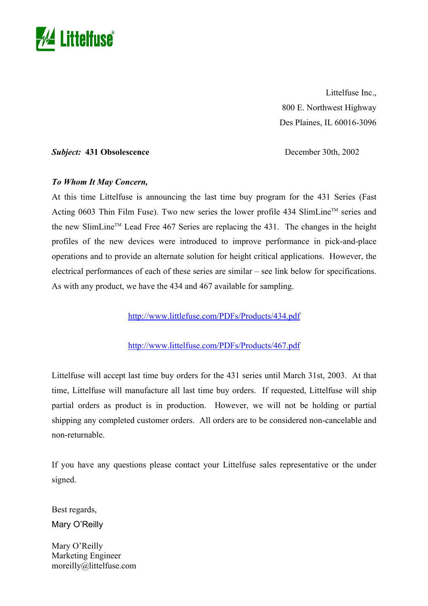

Littelfuse Inc., 800 E. Northwest Highway Des Plaines, IL 60016-3096

**Subject:** 431 Obsolescence December 30th, 2002

## *To Whom It May Concern,*

At this time Littelfuse is announcing the last time buy program for the 431 Series (Fast Acting 0603 Thin Film Fuse). Two new series the lower profile 434 SlimLine<sup>TM</sup> series and the new SlimLine<sup>TM</sup> Lead Free 467 Series are replacing the 431. The changes in the height profiles of the new devices were introduced to improve performance in pick-and-place operations and to provide an alternate solution for height critical applications. However, the electrical performances of each of these series are similar – see link below for specifications. As with any product, we have the 434 and 467 available for sampling.

http://www.littlefuse.com/PDFs/Products/434.pdf

## http://www.littelfuse.c[om/P](http://www.littelfuse.com/PDFs/Products/467.pdf)DFs/Products/467.pdf

Littelfuse will accept last time buy orders for the 431 series until March 31st, 2003. At that time, Littelfuse will manufacture all last time buy orders. If requested, Littelfuse will ship partial orders as product is in production. However, we will not be holding or partial shipping any completed customer orders. All orders are to be considered non-cancelable and non-returnable.

If you have any questions please contact your Littelfuse sales representative or the under signed.

Best regards, Mary O'Reilly

Mary O'Reilly Marketing Engineer moreilly@littelfuse.com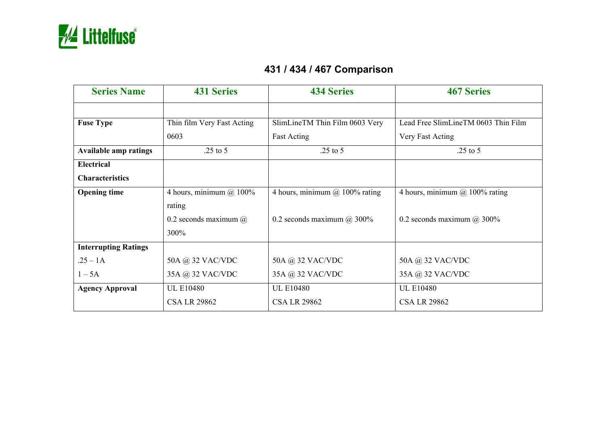

## **431 / 434 / 467 Comparison**

| <b>Series Name</b>           | <b>431 Series</b>            | <b>434 Series</b>                  | <b>467 Series</b>                   |
|------------------------------|------------------------------|------------------------------------|-------------------------------------|
|                              |                              |                                    |                                     |
| <b>Fuse Type</b>             | Thin film Very Fast Acting   | SlimLineTM Thin Film 0603 Very     | Lead Free SlimLineTM 0603 Thin Film |
|                              | 0603                         | <b>Fast Acting</b>                 | Very Fast Acting                    |
| <b>Available amp ratings</b> | $.25$ to 5                   | $.25$ to 5                         | $.25$ to 5                          |
| <b>Electrical</b>            |                              |                                    |                                     |
| <b>Characteristics</b>       |                              |                                    |                                     |
| <b>Opening time</b>          | 4 hours, minimum $(a)$ 100%  | 4 hours, minimum $(a)$ 100% rating | 4 hours, minimum $@$ 100% rating    |
|                              | rating                       |                                    |                                     |
|                              | 0.2 seconds maximum $\omega$ | 0.2 seconds maximum $\omega$ 300%  | 0.2 seconds maximum $@300\%$        |
|                              | 300%                         |                                    |                                     |
| <b>Interrupting Ratings</b>  |                              |                                    |                                     |
| $.25 - 1A$                   | 50A @ 32 VAC/VDC             | 50A @ 32 VAC/VDC                   | 50A @ 32 VAC/VDC                    |
| $1-5A$                       | 35A @ 32 VAC/VDC             | 35A @ 32 VAC/VDC                   | 35A @ 32 VAC/VDC                    |
| <b>Agency Approval</b>       | <b>UL E10480</b>             | <b>UL E10480</b>                   | <b>UL E10480</b>                    |
|                              | <b>CSA LR 29862</b>          | <b>CSA LR 29862</b>                | <b>CSA LR 29862</b>                 |